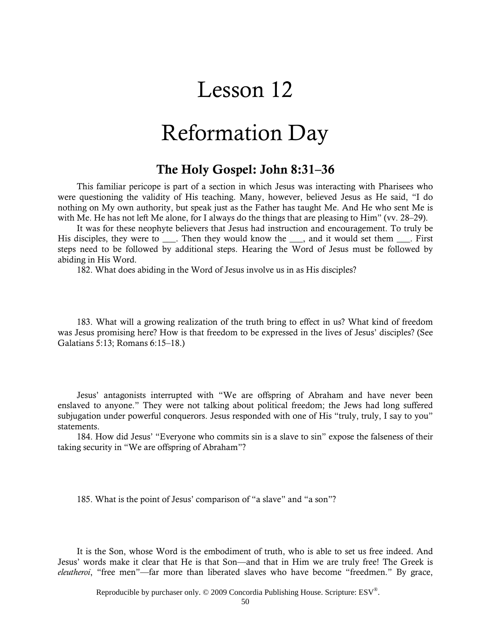# Lesson 12

# Reformation Day

### The Holy Gospel: John 8:31–36

This familiar pericope is part of a section in which Jesus was interacting with Pharisees who were questioning the validity of His teaching. Many, however, believed Jesus as He said, "I do nothing on My own authority, but speak just as the Father has taught Me. And He who sent Me is with Me. He has not left Me alone, for I always do the things that are pleasing to Him" (vv. 28–29).

It was for these neophyte believers that Jesus had instruction and encouragement. To truly be His disciples, they were to \_\_\_. Then they would know the \_\_\_, and it would set them \_\_\_\_. First steps need to be followed by additional steps. Hearing the Word of Jesus must be followed by abiding in His Word.

182. What does abiding in the Word of Jesus involve us in as His disciples?

183. What will a growing realization of the truth bring to effect in us? What kind of freedom was Jesus promising here? How is that freedom to be expressed in the lives of Jesus' disciples? (See Galatians 5:13; Romans 6:15–18.)

Jesus' antagonists interrupted with "We are offspring of Abraham and have never been enslaved to anyone." They were not talking about political freedom; the Jews had long suffered subjugation under powerful conquerors. Jesus responded with one of His "truly, truly, I say to you" statements.

184. How did Jesus' "Everyone who commits sin is a slave to sin" expose the falseness of their taking security in "We are offspring of Abraham"?

185. What is the point of Jesus' comparison of "a slave" and "a son"?

It is the Son, whose Word is the embodiment of truth, who is able to set us free indeed. And Jesus' words make it clear that He is that Son—and that in Him we are truly free! The Greek is *eleutheroi*, "free men"—far more than liberated slaves who have become "freedmen." By grace,

Reproducible by purchaser only. © 2009 Concordia Publishing House. Scripture: ESV®.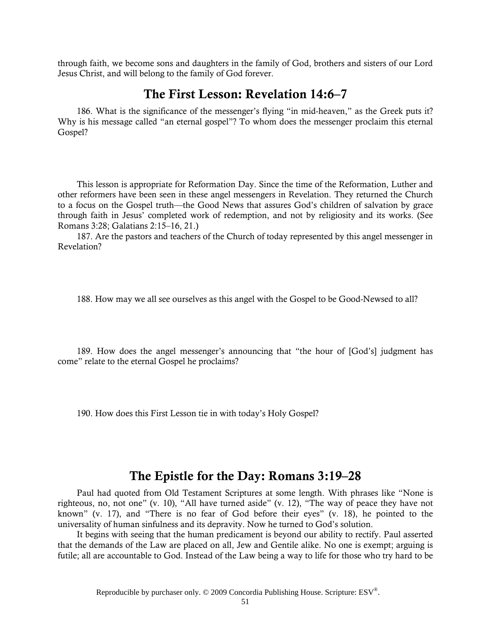through faith, we become sons and daughters in the family of God, brothers and sisters of our Lord Jesus Christ, and will belong to the family of God forever.

### The First Lesson: Revelation 14:6–7

186. What is the significance of the messenger's flying "in mid-heaven," as the Greek puts it? Why is his message called "an eternal gospel"? To whom does the messenger proclaim this eternal Gospel?

This lesson is appropriate for Reformation Day. Since the time of the Reformation, Luther and other reformers have been seen in these angel messengers in Revelation. They returned the Church to a focus on the Gospel truth—the Good News that assures God's children of salvation by grace through faith in Jesus' completed work of redemption, and not by religiosity and its works. (See Romans 3:28; Galatians 2:15–16, 21.)

187. Are the pastors and teachers of the Church of today represented by this angel messenger in Revelation?

188. How may we all see ourselves as this angel with the Gospel to be Good-Newsed to all?

189. How does the angel messenger's announcing that "the hour of [God's] judgment has come" relate to the eternal Gospel he proclaims?

190. How does this First Lesson tie in with today's Holy Gospel?

### The Epistle for the Day: Romans 3:19–28

Paul had quoted from Old Testament Scriptures at some length. With phrases like "None is righteous, no, not one" (v. 10), "All have turned aside" (v. 12), "The way of peace they have not known" (v. 17), and "There is no fear of God before their eyes" (v. 18), he pointed to the universality of human sinfulness and its depravity. Now he turned to God's solution.

It begins with seeing that the human predicament is beyond our ability to rectify. Paul asserted that the demands of the Law are placed on all, Jew and Gentile alike. No one is exempt; arguing is futile; all are accountable to God. Instead of the Law being a way to life for those who try hard to be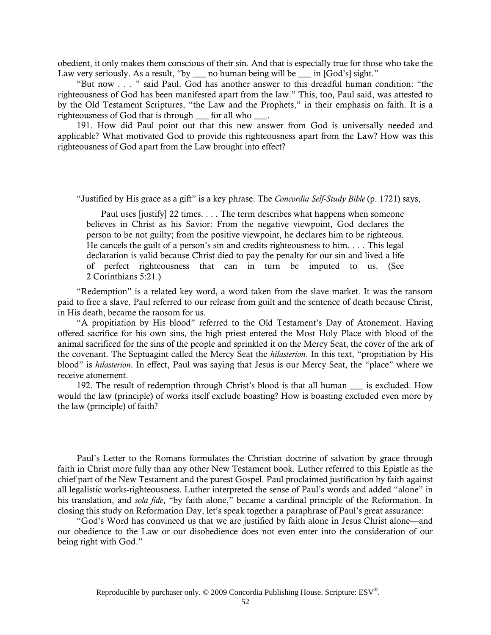obedient, it only makes them conscious of their sin. And that is especially true for those who take the Law very seriously. As a result, "by \_\_\_ no human being will be \_\_\_ in [God's] sight."

"But now . . . " said Paul. God has another answer to this dreadful human condition: "the righteousness of God has been manifested apart from the law." This, too, Paul said, was attested to by the Old Testament Scriptures, "the Law and the Prophets," in their emphasis on faith. It is a righteousness of God that is through \_\_\_ for all who \_\_\_.

191. How did Paul point out that this new answer from God is universally needed and applicable? What motivated God to provide this righteousness apart from the Law? How was this righteousness of God apart from the Law brought into effect?

"Justified by His grace as a gift" is a key phrase. The *Concordia Self-Study Bible* (p. 1721) says,

Paul uses [justify] 22 times. . . . The term describes what happens when someone believes in Christ as his Savior: From the negative viewpoint, God declares the person to be not guilty; from the positive viewpoint, he declares him to be righteous. He cancels the guilt of a person's sin and credits righteousness to him. . . . This legal declaration is valid because Christ died to pay the penalty for our sin and lived a life of perfect righteousness that can in turn be imputed to us. (See 2 Corinthians 5:21.)

"Redemption" is a related key word, a word taken from the slave market. It was the ransom paid to free a slave. Paul referred to our release from guilt and the sentence of death because Christ, in His death, became the ransom for us.

"A propitiation by His blood" referred to the Old Testament's Day of Atonement. Having offered sacrifice for his own sins, the high priest entered the Most Holy Place with blood of the animal sacrificed for the sins of the people and sprinkled it on the Mercy Seat, the cover of the ark of the covenant. The Septuagint called the Mercy Seat the *hilasterion*. In this text, "propitiation by His blood" is *hilasterion*. In effect, Paul was saying that Jesus is our Mercy Seat, the "place" where we receive atonement.

192. The result of redemption through Christ's blood is that all human is excluded. How would the law (principle) of works itself exclude boasting? How is boasting excluded even more by the law (principle) of faith?

Paul's Letter to the Romans formulates the Christian doctrine of salvation by grace through faith in Christ more fully than any other New Testament book. Luther referred to this Epistle as the chief part of the New Testament and the purest Gospel. Paul proclaimed justification by faith against all legalistic works-righteousness. Luther interpreted the sense of Paul's words and added "alone" in his translation, and *sola fide*, "by faith alone," became a cardinal principle of the Reformation. In closing this study on Reformation Day, let's speak together a paraphrase of Paul's great assurance:

"God's Word has convinced us that we are justified by faith alone in Jesus Christ alone—and our obedience to the Law or our disobedience does not even enter into the consideration of our being right with God."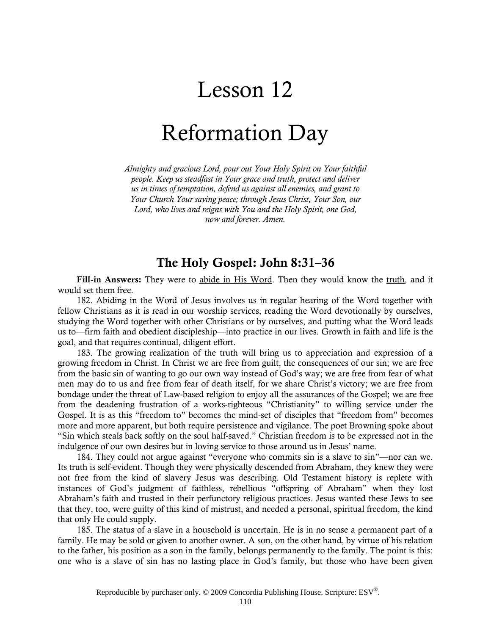# Lesson 12

# Reformation Day

*Almighty and gracious Lord, pour out Your Holy Spirit on Your faithful people. Keep us steadfast in Your grace and truth, protect and deliver us in times of temptation, defend us against all enemies, and grant to Your Church Your saving peace; through Jesus Christ, Your Son, our Lord, who lives and reigns with You and the Holy Spirit, one God, now and forever. Amen.*

### The Holy Gospel: John 8:31–36

Fill-in Answers: They were to abide in His Word. Then they would know the truth, and it would set them free.

182. Abiding in the Word of Jesus involves us in regular hearing of the Word together with fellow Christians as it is read in our worship services, reading the Word devotionally by ourselves, studying the Word together with other Christians or by ourselves, and putting what the Word leads us to—firm faith and obedient discipleship—into practice in our lives. Growth in faith and life is the goal, and that requires continual, diligent effort.

183. The growing realization of the truth will bring us to appreciation and expression of a growing freedom in Christ. In Christ we are free from guilt, the consequences of our sin; we are free from the basic sin of wanting to go our own way instead of God's way; we are free from fear of what men may do to us and free from fear of death itself, for we share Christ's victory; we are free from bondage under the threat of Law-based religion to enjoy all the assurances of the Gospel; we are free from the deadening frustration of a works-righteous "Christianity" to willing service under the Gospel. It is as this "freedom to" becomes the mind-set of disciples that "freedom from" becomes more and more apparent, but both require persistence and vigilance. The poet Browning spoke about "Sin which steals back softly on the soul half-saved." Christian freedom is to be expressed not in the indulgence of our own desires but in loving service to those around us in Jesus' name.

184. They could not argue against "everyone who commits sin is a slave to sin"—nor can we. Its truth is self-evident. Though they were physically descended from Abraham, they knew they were not free from the kind of slavery Jesus was describing. Old Testament history is replete with instances of God's judgment of faithless, rebellious "offspring of Abraham" when they lost Abraham's faith and trusted in their perfunctory religious practices. Jesus wanted these Jews to see that they, too, were guilty of this kind of mistrust, and needed a personal, spiritual freedom, the kind that only He could supply.

185. The status of a slave in a household is uncertain. He is in no sense a permanent part of a family. He may be sold or given to another owner. A son, on the other hand, by virtue of his relation to the father, his position as a son in the family, belongs permanently to the family. The point is this: one who is a slave of sin has no lasting place in God's family, but those who have been given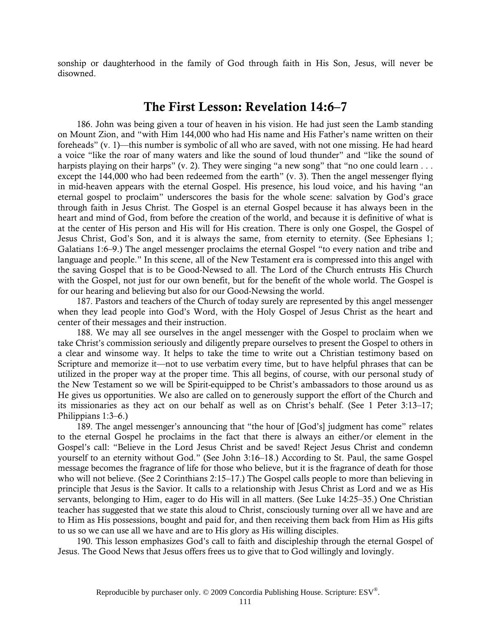sonship or daughterhood in the family of God through faith in His Son, Jesus, will never be disowned.

#### The First Lesson: Revelation 14:6–7

186. John was being given a tour of heaven in his vision. He had just seen the Lamb standing on Mount Zion, and "with Him 144,000 who had His name and His Father's name written on their foreheads" (v. 1)—this number is symbolic of all who are saved, with not one missing. He had heard a voice "like the roar of many waters and like the sound of loud thunder" and "like the sound of harpists playing on their harps" (v. 2). They were singing "a new song" that "no one could learn . . . except the 144,000 who had been redeemed from the earth" (v. 3). Then the angel messenger flying in mid-heaven appears with the eternal Gospel. His presence, his loud voice, and his having "an eternal gospel to proclaim" underscores the basis for the whole scene: salvation by God's grace through faith in Jesus Christ. The Gospel is an eternal Gospel because it has always been in the heart and mind of God, from before the creation of the world, and because it is definitive of what is at the center of His person and His will for His creation. There is only one Gospel, the Gospel of Jesus Christ, God's Son, and it is always the same, from eternity to eternity. (See Ephesians 1; Galatians 1:6–9.) The angel messenger proclaims the eternal Gospel "to every nation and tribe and language and people." In this scene, all of the New Testament era is compressed into this angel with the saving Gospel that is to be Good-Newsed to all. The Lord of the Church entrusts His Church with the Gospel, not just for our own benefit, but for the benefit of the whole world. The Gospel is for our hearing and believing but also for our Good-Newsing the world.

187. Pastors and teachers of the Church of today surely are represented by this angel messenger when they lead people into God's Word, with the Holy Gospel of Jesus Christ as the heart and center of their messages and their instruction.

188. We may all see ourselves in the angel messenger with the Gospel to proclaim when we take Christ's commission seriously and diligently prepare ourselves to present the Gospel to others in a clear and winsome way. It helps to take the time to write out a Christian testimony based on Scripture and memorize it—not to use verbatim every time, but to have helpful phrases that can be utilized in the proper way at the proper time. This all begins, of course, with our personal study of the New Testament so we will be Spirit-equipped to be Christ's ambassadors to those around us as He gives us opportunities. We also are called on to generously support the effort of the Church and its missionaries as they act on our behalf as well as on Christ's behalf. (See 1 Peter 3:13–17; Philippians 1:3–6.)

189. The angel messenger's announcing that "the hour of [God's] judgment has come" relates to the eternal Gospel he proclaims in the fact that there is always an either/or element in the Gospel's call: "Believe in the Lord Jesus Christ and be saved! Reject Jesus Christ and condemn yourself to an eternity without God." (See John 3:16–18.) According to St. Paul, the same Gospel message becomes the fragrance of life for those who believe, but it is the fragrance of death for those who will not believe. (See 2 Corinthians 2:15–17.) The Gospel calls people to more than believing in principle that Jesus is the Savior. It calls to a relationship with Jesus Christ as Lord and we as His servants, belonging to Him, eager to do His will in all matters. (See Luke 14:25–35.) One Christian teacher has suggested that we state this aloud to Christ, consciously turning over all we have and are to Him as His possessions, bought and paid for, and then receiving them back from Him as His gifts to us so we can use all we have and are to His glory as His willing disciples.

190. This lesson emphasizes God's call to faith and discipleship through the eternal Gospel of Jesus. The Good News that Jesus offers frees us to give that to God willingly and lovingly.